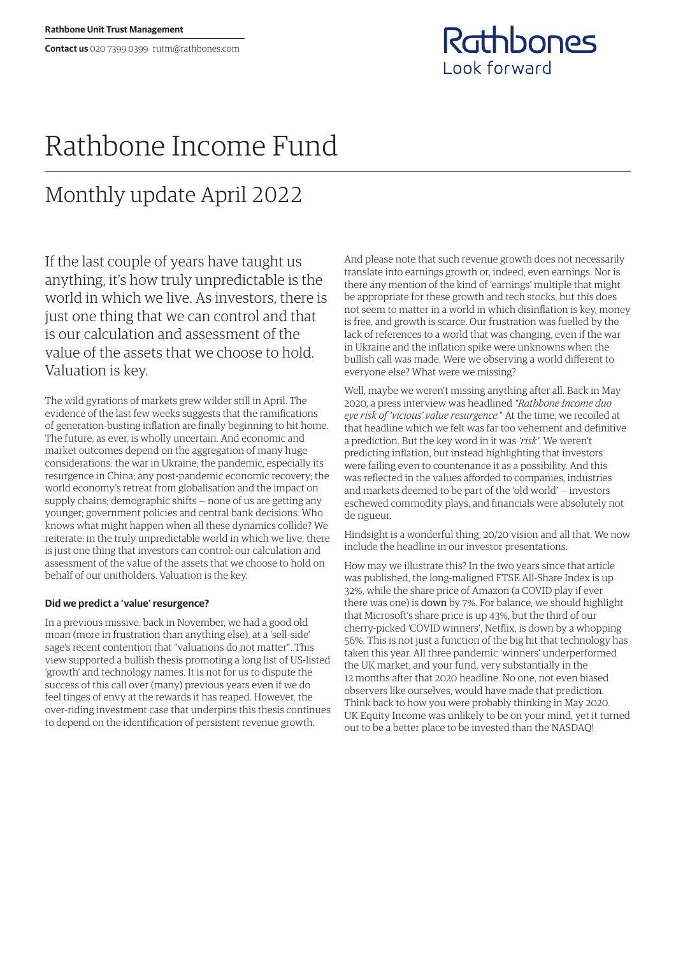Rathbones Look forward

## Rathbone Income Fund

## Monthly update April 2022

If the last couple of years have taught us anything, it's how truly unpredictable is the world in which we live. As investors, there is just one thing that we can control and that is our calculation and assessment of the value of the assets that we choose to hold. Valuation is key.

The wild gyrations of markets grew wilder still in April. The evidence of the last few weeks suggests that the ramifications of generation-busting inflation are finally beginning to hit home. The future, as ever, is wholly uncertain. And economic and market outcomes depend on the aggregation of many huge considerations: the war in Ukraine; the pandemic, especially its resurgence in China; any post-pandemic economic recovery; the world economy's retreat from globalisation and the impact on supply chains; demographic shifts — none of us are getting any younger; government policies and central bank decisions. Who knows what might happen when all these dynamics collide? We reiterate: in the truly unpredictable world in which we live, there is just one thing that investors can control: our calculation and assessment of the value of the assets that we choose to hold on behalf of our unitholders. Valuation is the key.

## **Did we predict a 'value' resurgence?**

In a previous missive, back in November, we had a good old moan (more in frustration than anything else), at a 'sell-side' sage's recent contention that "valuations do not matter". This view supported a bullish thesis promoting a long list of US-listed 'growth' and technology names. It is not for us to dispute the success of this call over (many) previous years even if we do feel tinges of envy at the rewards it has reaped. However, the over-riding investment case that underpins this thesis continues to depend on the identification of persistent revenue growth.

And please note that such revenue growth does not necessarily translate into earnings growth or, indeed, even earnings. Nor is there any mention of the kind of 'earnings' multiple that might be appropriate for these growth and tech stocks, but this does not seem to matter in a world in which disinflation is key, money is free, and growth is scarce. Our frustration was fuelled by the lack of references to a world that was changing, even if the war in Ukraine and the inflation spike were unknowns when the bullish call was made. Were we observing a world different to everyone else? What were we missing?

Well, maybe we weren't missing anything after all. Back in May 2020, a press interview was headlined *"Rathbone Income duo eye risk of 'vicious' value resurgence.*" At the time, we recoiled at that headline which we felt was far too vehement and definitive a prediction. But the key word in it was *'risk'*. We weren't predicting inflation, but instead highlighting that investors were failing even to countenance it as a possibility. And this was reflected in the values afforded to companies, industries and markets deemed to be part of the 'old world' — investors eschewed commodity plays, and financials were absolutely not de rigueur.

Hindsight is a wonderful thing, 20/20 vision and all that. We now include the headline in our investor presentations.

How may we illustrate this? In the two years since that article was published, the long-maligned FTSE All-Share Index is up 32%, while the share price of Amazon (a COVID play if ever there was one) is down by 7%. For balance, we should highlight that Microsoft's share price is up 43%, but the third of our cherry-picked 'COVID winners', Netflix, is down by a whopping 56%. This is not just a function of the big hit that technology has taken this year. All three pandemic 'winners' underperformed the UK market, and your fund, very substantially in the 12 months after that 2020 headline. No one, not even biased observers like ourselves, would have made that prediction. Think back to how you were probably thinking in May 2020. UK Equity Income was unlikely to be on your mind, yet it turned out to be a better place to be invested than the NASDAQ!